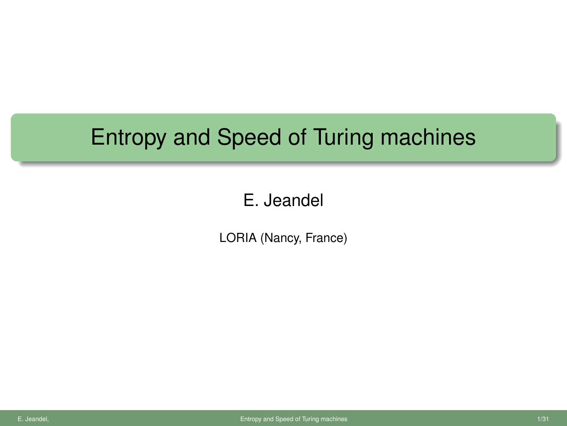## Entropy and Speed of Turing machines

### E. Jeandel

<span id="page-0-0"></span>LORIA (Nancy, France)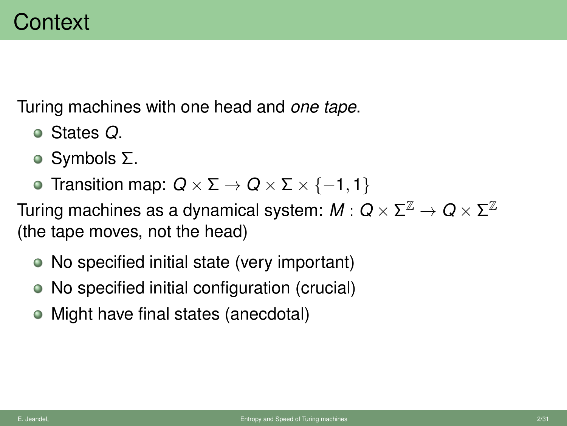Turing machines with one head and *one tape*.

- States *Q*.
- Symbols Σ.
- $\bullet$  Transition map:  $Q \times \Sigma \rightarrow Q \times \Sigma \times \{-1, 1\}$

Turing machines as a dynamical system:  $M:Q\times \Sigma^\mathbb{Z}\to Q\times \Sigma^\mathbb{Z}$ (the tape moves, not the head)

- No specified initial state (very important)
- No specified initial configuration (crucial)
- Might have final states (anecdotal)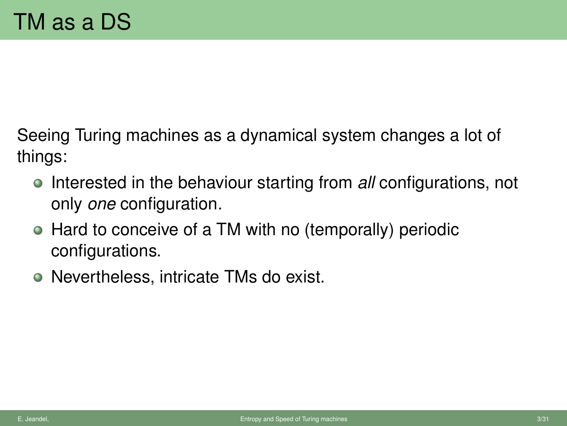Seeing Turing machines as a dynamical system changes a lot of things:

- **Interested in the behaviour starting from** *all* **configurations, not** only *one* configuration.
- Hard to conceive of a TM with no (temporally) periodic configurations.
- Nevertheless, intricate TMs do exist.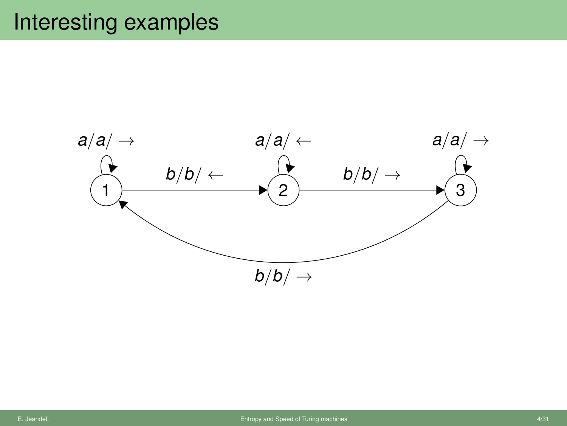## Interesting examples

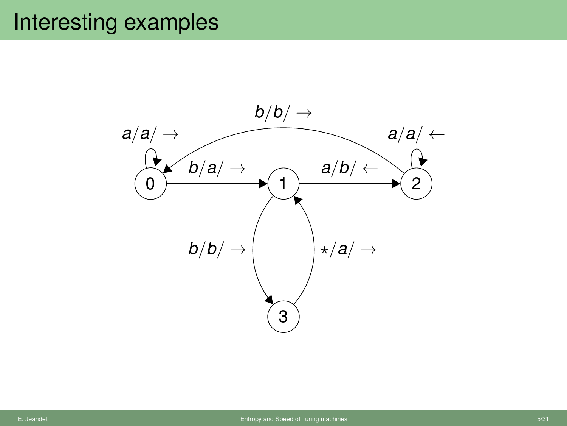## Interesting examples

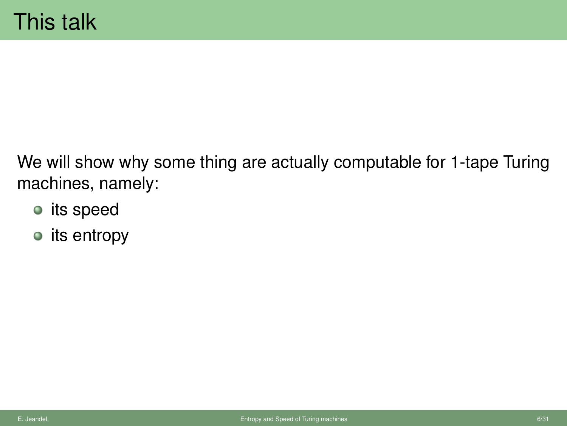We will show why some thing are actually computable for 1-tape Turing machines, namely:

- its speed
- $\bullet$  its entropy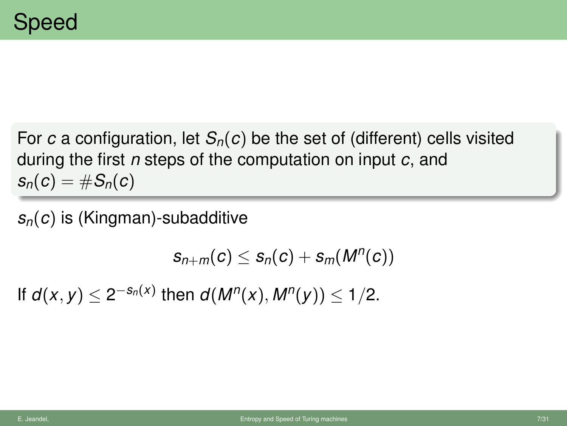For *c* a configuration, let  $S_n(c)$  be the set of (different) cells visited during the first *n* steps of the computation on input *c*, and  $s_n(c) = \#S_n(c)$ 

*sn*(*c*) is (Kingman)-subadditive

$$
s_{n+m}(c) \leq s_n(c) + s_m(M^n(c))
$$

If *d*(*x*, *y*) ≤ 2<sup>−*s<sub>n</sub>*(*x*)</sub> then *d*(*M<sup>n</sup>*(*x*), *M<sup>n</sup>*(*y*)) ≤ 1/2.</sup>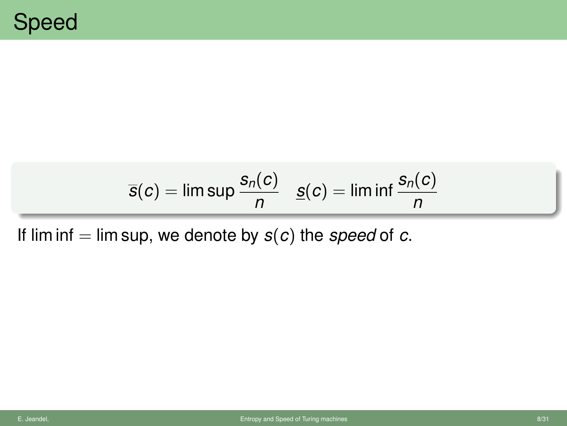$$
\overline{s}(c) = \limsup \frac{s_n(c)}{n} \quad \underline{s}(c) = \liminf \frac{s_n(c)}{n}
$$

If lim inf  $=$  lim sup, we denote by  $s(c)$  the *speed* of *c*.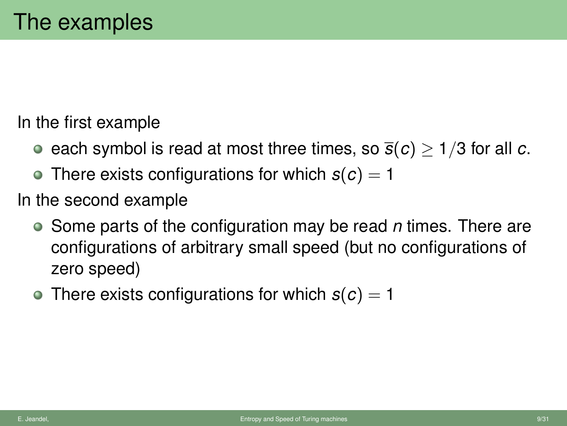In the first example

- e each symbol is read at most three times, so  $\bar{s}(c) > 1/3$  for all *c*.
- There exists configurations for which  $s(c) = 1$

In the second example

- Some parts of the configuration may be read *n* times. There are configurations of arbitrary small speed (but no configurations of zero speed)
- There exists configurations for which  $s(c) = 1$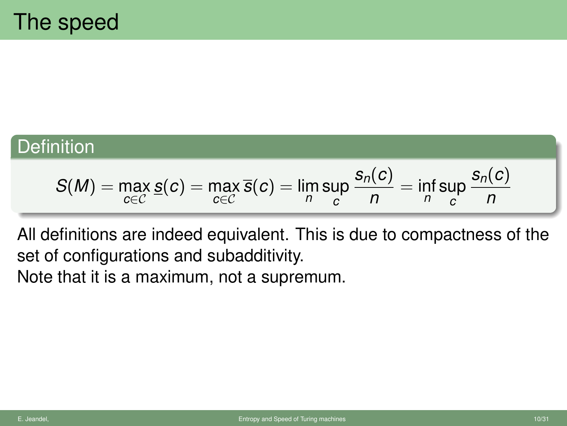### **Definition**

$$
S(M) = \max_{c \in C} s(c) = \max_{c \in C} \overline{s}(c) = \lim_{n} \sup_{c} \frac{s_n(c)}{n} = \inf_{n} \sup_{c} \frac{s_n(c)}{n}
$$

All definitions are indeed equivalent. This is due to compactness of the set of configurations and subadditivity. Note that it is a maximum, not a supremum.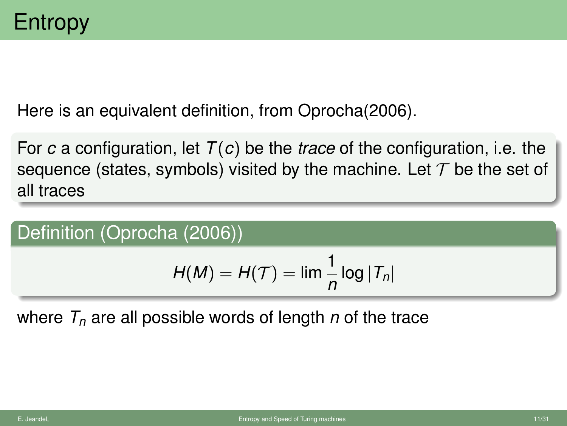Here is an equivalent definition, from Oprocha(2006).

For *c* a configuration, let *T*(*c*) be the *trace* of the configuration, i.e. the sequence (states, symbols) visited by the machine. Let  $\mathcal T$  be the set of all traces

Definition (Oprocha (2006))

$$
H(M) = H(\mathcal{T}) = \lim \frac{1}{n} \log |\mathcal{T}_n|
$$

where *T<sup>n</sup>* are all possible words of length *n* of the trace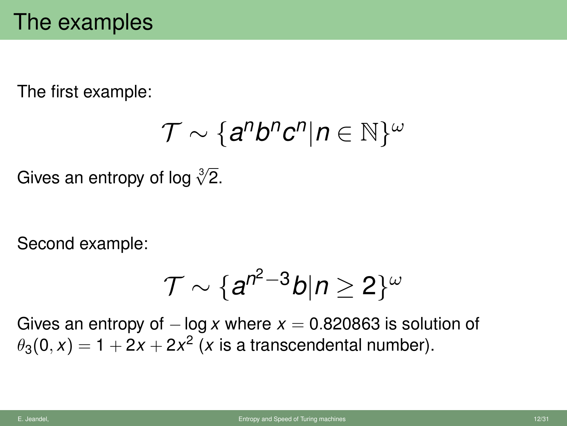The first example:

$$
\mathcal{T} \sim \{a^n b^n c^n | n \in \mathbb{N}\}^\omega
$$

Gives an entropy of log  $\sqrt[3]{2}$ .

Second example:

$$
\mathcal{T}\sim \{a^{n^2-3}b|n\geq 2\}^\omega
$$

Gives an entropy of  $-\log x$  where  $x = 0.820863$  is solution of  $\theta_3(0,x) = 1 + 2x + 2x^2$  (*x* is a transcendental number).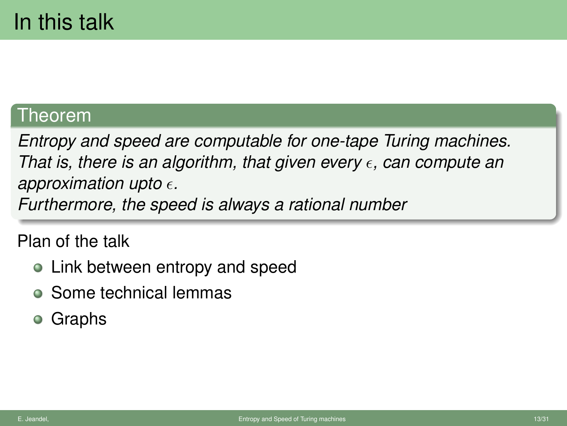### Theorem

*Entropy and speed are computable for one-tape Turing machines. That is, there is an algorithm, that given every*  $\epsilon$ , can compute an *approximation upto .*

*Furthermore, the speed is always a rational number*

Plan of the talk

- Link between entropy and speed
- Some technical lemmas
- Graphs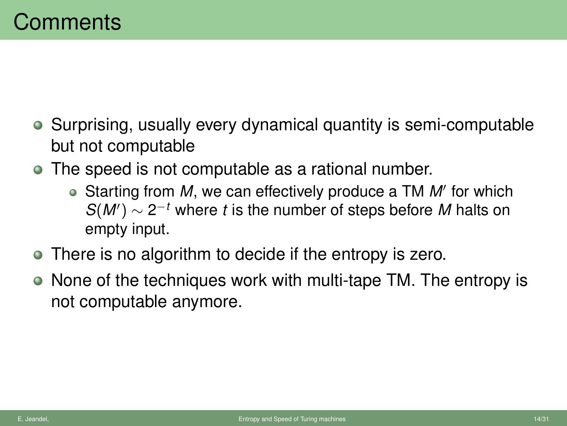- Surprising, usually every dynamical quantity is semi-computable but not computable
- The speed is not computable as a rational number.
	- Starting from M, we can effectively produce a TM M' for which  $S(M') \sim 2^{-t}$  where *t* is the number of steps before *M* halts on empty input.
- There is no algorithm to decide if the entropy is zero.
- None of the techniques work with multi-tape TM. The entropy is not computable anymore.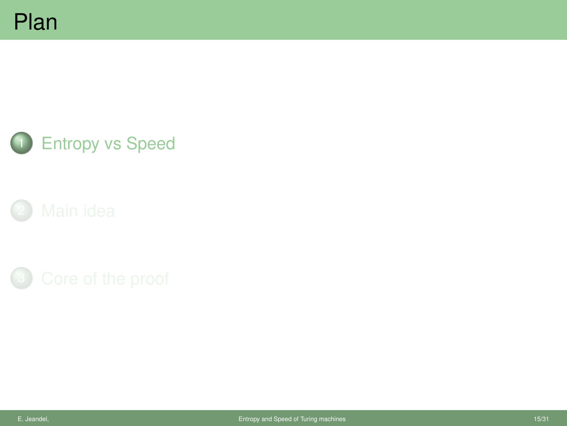





<span id="page-14-0"></span>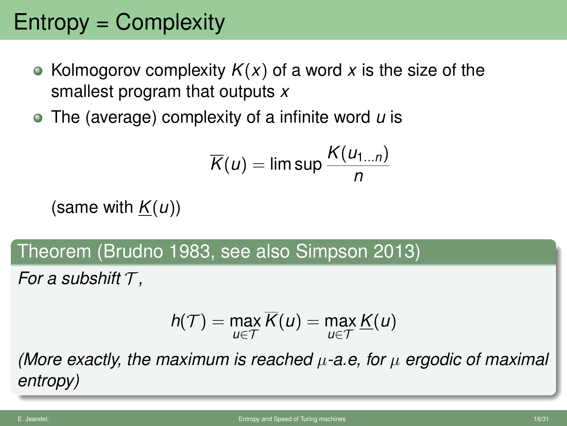# Entropy = Complexity

- Kolmogorov complexity  $K(x)$  of a word x is the size of the smallest program that outputs *x*
- The (average) complexity of a infinite word *u* is

$$
\overline{K}(u) = \limsup \frac{K(u_{1...n})}{n}
$$

(same with  $K(u)$ )

Theorem (Brudno 1983, see also Simpson 2013)

*For a subshift* T *,*

$$
h(\mathcal{T}) = \max_{u \in \mathcal{T}} \overline{K}(u) = \max_{u \in \mathcal{T}} \underline{K}(u)
$$

*(More exactly, the maximum is reached* µ*-a.e, for* µ *ergodic of maximal entropy)*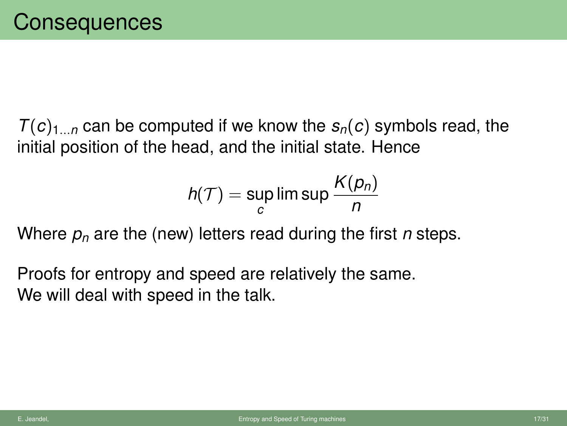$T(c)_{1...n}$  can be computed if we know the  $s_n(c)$  symbols read, the initial position of the head, and the initial state. Hence

$$
h(\mathcal{T}) = \sup_c \limsup \frac{K(p_n)}{n}
$$

Where *p<sup>n</sup>* are the (new) letters read during the first *n* steps.

Proofs for entropy and speed are relatively the same. We will deal with speed in the talk.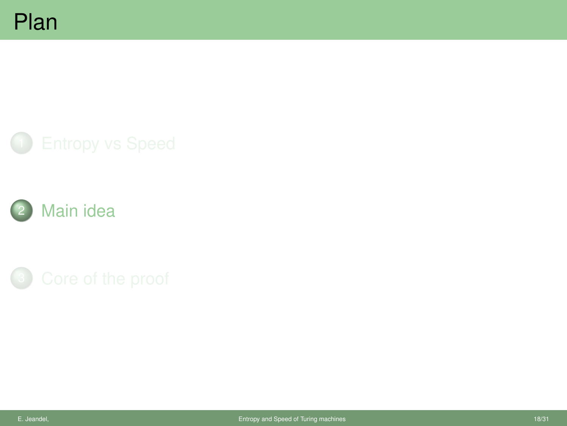

<span id="page-17-0"></span>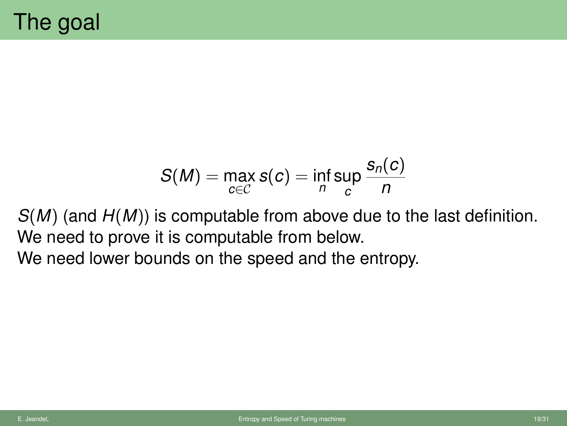$$
S(M) = \max_{c \in \mathcal{C}} s(c) = \inf_{n} \sup_{c} \frac{s_n(c)}{n}
$$

*S*(*M*) (and *H*(*M*)) is computable from above due to the last definition. We need to prove it is computable from below.

We need lower bounds on the speed and the entropy.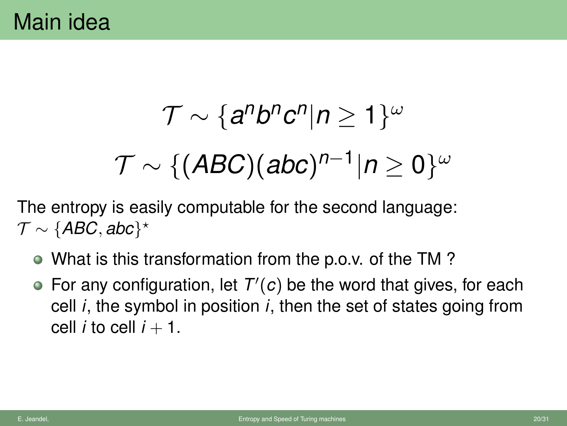$$
\mathcal{T} \sim \{a^n b^n c^n | n \geq 1\}^\omega
$$

$$
\mathcal{T} \sim \{(\mathit{ABC})(abc)^{n-1}|n \geq 0\}^\omega
$$

The entropy is easily computable for the second language:  $\mathcal{T} \sim \{ABC, abc\}^{\star}$ 

- What is this transformation from the p.o.v. of the TM ?
- For any configuration, let  $T'(c)$  be the word that gives, for each cell *i*, the symbol in position *i*, then the set of states going from cell *i* to cell  $i + 1$ .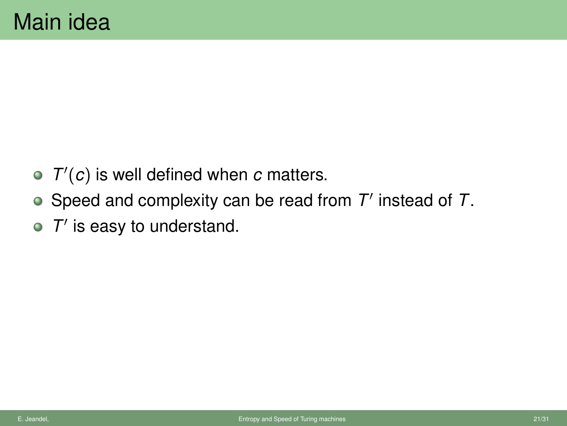- $T'(c)$  is well defined when  $c$  matters.
- Speed and complexity can be read from T' instead of T.
- $T'$  is easy to understand.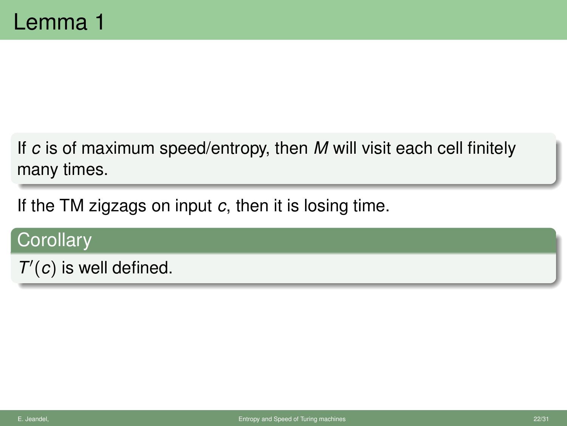If *c* is of maximum speed/entropy, then *M* will visit each cell finitely many times.

If the TM zigzags on input *c*, then it is losing time.

### **Corollary**

 $T'(c)$  is well defined.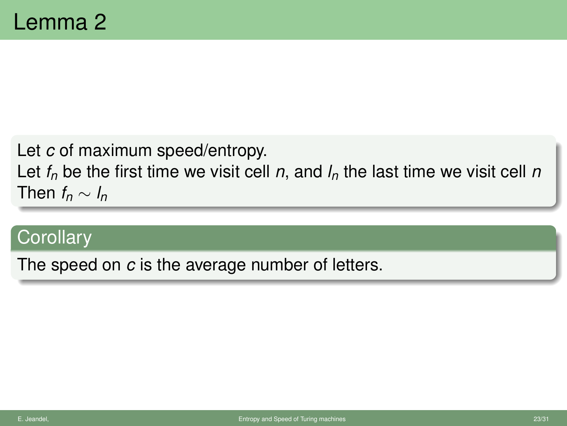Let *c* of maximum speed/entropy.

Let  $f_n$  be the first time we visit cell *n*, and  $I_n$  the last time we visit cell *n* Then  $f_n \sim l_n$ 

### **Corollary**

The speed on *c* is the average number of letters.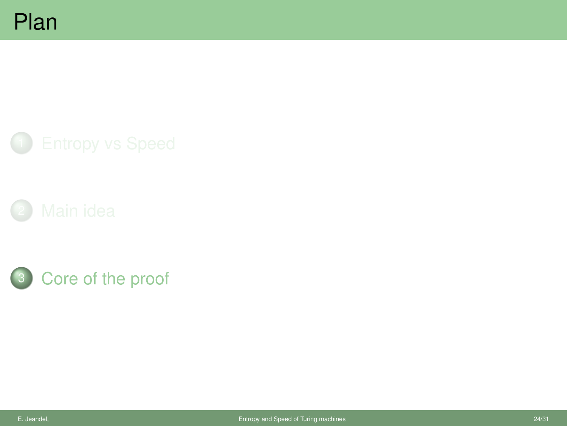

<span id="page-23-0"></span>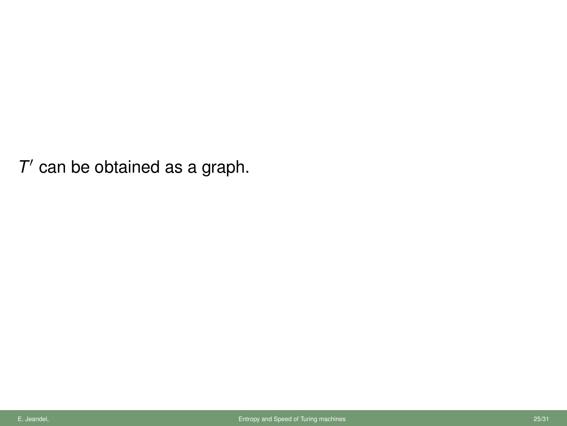$T'$  can be obtained as a graph.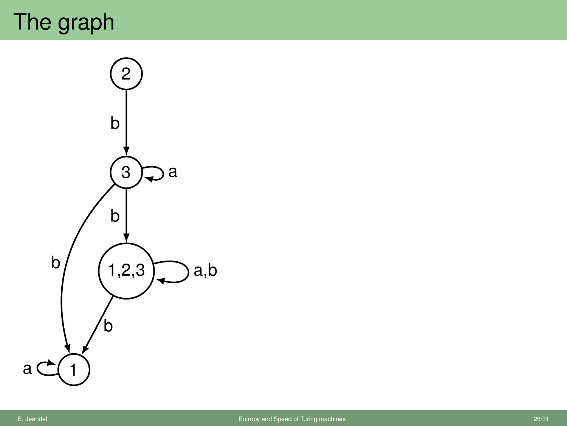# The graph

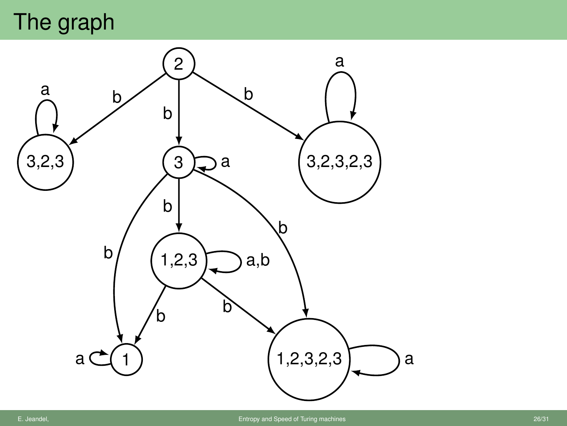## The graph

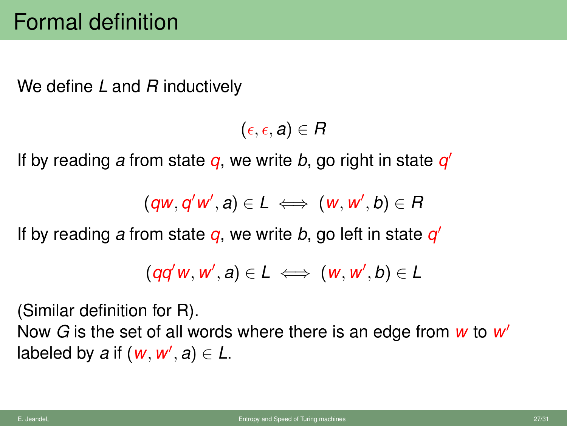We define *L* and *R* inductively

 $(\epsilon, \epsilon, a) \in R$ 

If by reading *a* from state *q*, we write *b*, go right in state *q* 0

 $(\overline{q}w, \overline{q}'w', a) \in L \iff (w, w', b) \in R$ 

If by reading *a* from state *q*, we write *b*, go left in state *q* 0

$$
(qq'w, w', a) \in L \iff (w, w', b) \in L
$$

(Similar definition for R).

Now *G* is the set of all words where there is an edge from *w* to *w* 0 labeled by a if  $(w, w', a) \in L$ .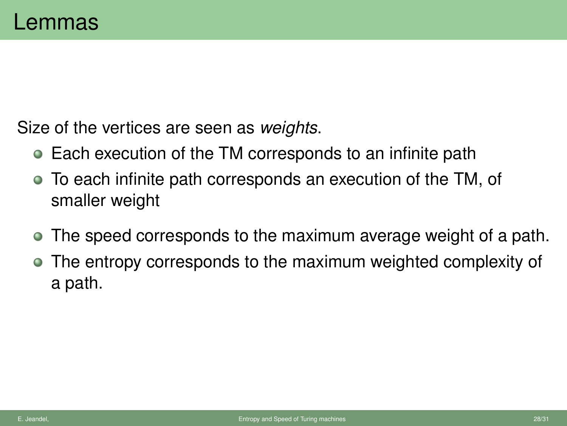Size of the vertices are seen as *weights*.

- Each execution of the TM corresponds to an infinite path
- To each infinite path corresponds an execution of the TM, of smaller weight
- The speed corresponds to the maximum average weight of a path.
- The entropy corresponds to the maximum weighted complexity of a path.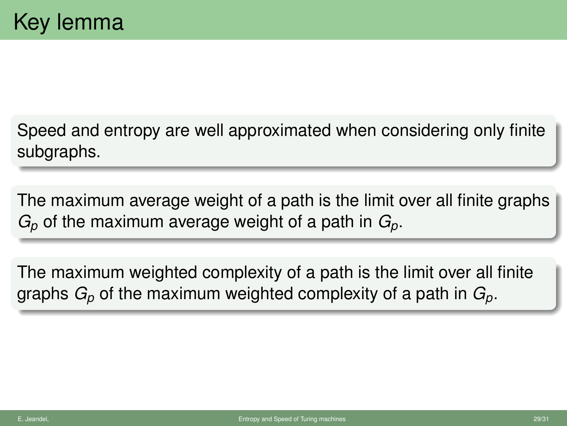Speed and entropy are well approximated when considering only finite subgraphs.

The maximum average weight of a path is the limit over all finite graphs *G<sup>p</sup>* of the maximum average weight of a path in *Gp*.

The maximum weighted complexity of a path is the limit over all finite graphs *G<sup>p</sup>* of the maximum weighted complexity of a path in *Gp*.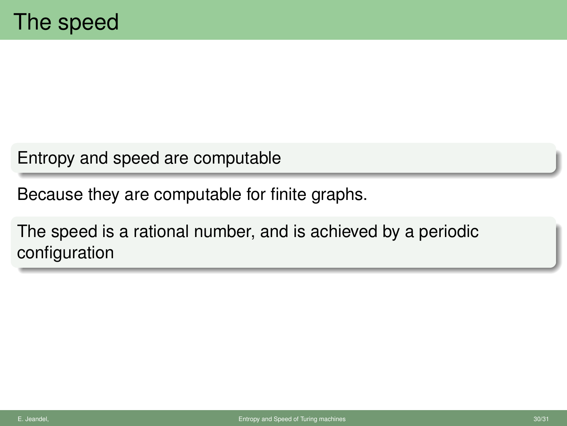Entropy and speed are computable

Because they are computable for finite graphs.

The speed is a rational number, and is achieved by a periodic configuration